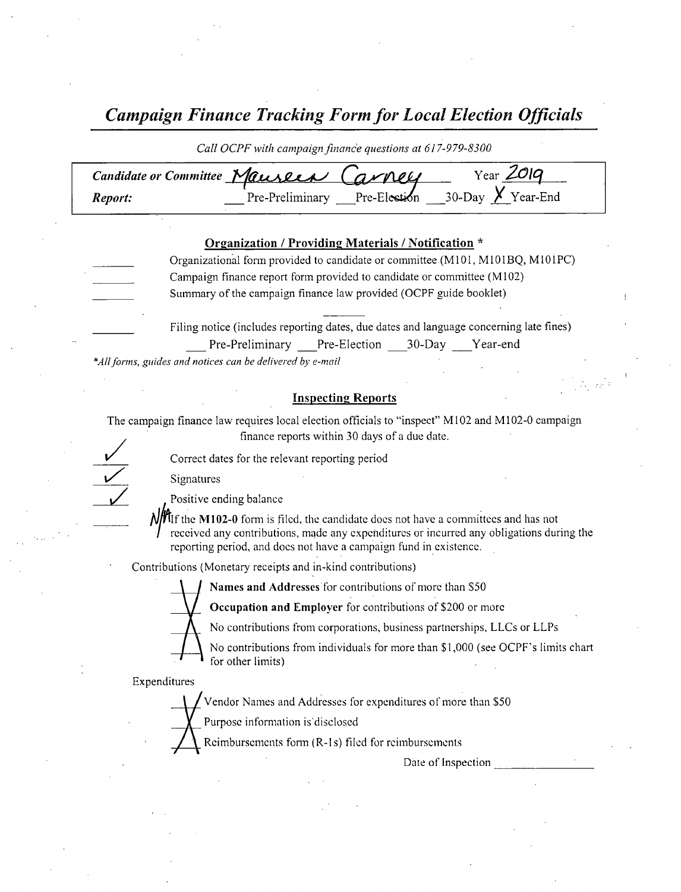Campaign Finance Tracking Form for Local Election Officials

|         | Call OCPF with campaign finance questions at 617-979-8300                                                                            |  |
|---------|--------------------------------------------------------------------------------------------------------------------------------------|--|
| Report: |                                                                                                                                      |  |
|         | Organization / Providing Materials / Notification *<br>Organizational form provided to candidate or committee (M101, M101BQ, M101PC) |  |

Campaign finance report form provided to candidate or committee ( M102) Summary of the campaign finance law provided( OCPF guide booklet)

> Filing notice (includes reporting dates, due dates and language concerning late fines) Pre-Preliminary Pre-Election 30-Day Year-end

\*All forms, guides and notices can be delivered by e-mail

## Inspecting Reports

The campaign finance law requires local election officials to "inspect" M102 and M102-0 campaign finance reports within 30 days of <sup>a</sup> due date.

Correct dates for the relevant reporting period

Signatures

Positive ending balance

 $\frac{\text{M}}{\text{N}}$  If the M102-0 form is filed, the candidate does not have a committees and has not received any contributions, made any expenditures or incurred any obligations during the reporting period, and does not have <sup>a</sup> campaign fund in existence.

Contributions( Monetary receipts and in- kind contributions)

Names and Addresses' for contributions of more than S50

Occupation and Employer for contributions of \$200 or more

No contributions from corporations, business partnerships, LLCs or LLPs

No contributions from individuals for more than \$1,000 (see OCPF's limits chart for other limits)

Expenditures

Vendor Names and Addresses for expenditures of more than \$50

Purpose information is' discloscd

Reimbursements form (R-1s) filed for reimbursements

Date of Inspection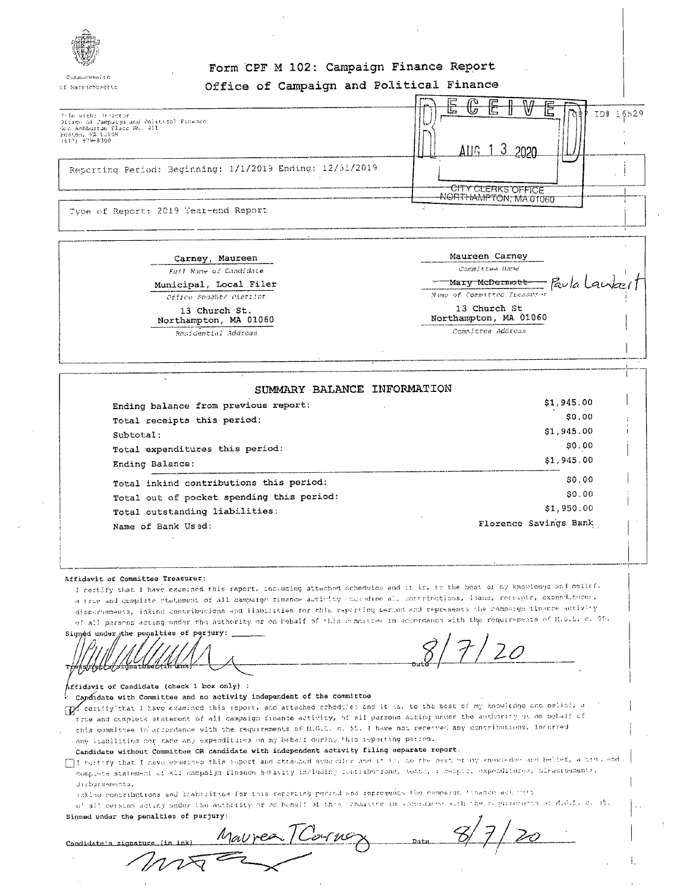

of Macsichusetts

## Form CPF M 102: Campaign Finance Report Office of Campaign and Political Finance

|                                                                                                                                      | <b>MEANING</b><br>匸<br>൹<br>╒═<br>⊏<br><b>Property</b><br><b>STEP</b> |
|--------------------------------------------------------------------------------------------------------------------------------------|-----------------------------------------------------------------------|
| Pole with: hisotan<br>Office of Campuign and Political Finance<br>One Ashburton Place Ru, 411<br>Scaton, NA (2108)<br>1617) 979-8300 | صا<br>ID# 16529<br>Allg $13$<br>2020                                  |
| Reporting Period: Beginning: 1/1/2019 Ending: 12/31/2019                                                                             |                                                                       |
|                                                                                                                                      | -CITY CLERKS OFFICE<br>-NORTHAMPTON, MA 01060                         |
| Type of Report: 2019 Year-end Report                                                                                                 |                                                                       |

Carney, Maureen Full Name of Candidate Municipal, Local Filer Office Sought/ Pistiion

> 13 Church St. Northampton, MA 01060 Residential Address

| Maureen Carney                         |  |
|----------------------------------------|--|
| Committee Hame                         |  |
| Mary McDernwer Faula Laute             |  |
| Name of Committee Treasurer            |  |
| 13 Church St<br>Northampton, MA. 01060 |  |
| Committee Address                      |  |

| SUMMARY BALANCE INFORMATION               |                       |
|-------------------------------------------|-----------------------|
| Ending balance from previous report:      | \$1,945.00            |
| Total receipts this period:               | SO.00                 |
| Subtotal:                                 | \$1,945.00            |
| Total expenditures this period:           | \$0.00                |
| Ending Balance:                           | \$1,945.00            |
| Total inkind contributions this period:   | \$0.00                |
| Total out of pocket spending this period: | \$0.00                |
| Total outstanding liabilities:            | \$1,950.00            |
| Name of Bank Used:                        | Florence Savings Bank |

#### Affidavit of Committee Treasurer:

I refilify that I have examined this report, including attached schedules and it is, to the best of my knowledge and pelicf. a trie and complate statement of all campaign finance activity thus dino all contributions, leans, receipts, expenditures, dispursements, inkind contributions and liabilities for this reporting period and represents the campaign finance activity of all persons acting under the authority or on behalf of this commuties in accordance with the requirements of K.G.L. c. 85.

Signod under the penalties of perjury: rthhsbibbolshignatural (in kur)

Affidavit of Candidate (check 1 box only) :

Candidate with Committee and no activity independent of the committee

The certify that I have examined this report, and attached schodules and it is, to the best of my knowledge and belief, a true and complete statement of all campaign finance activity, of all persons acting under the authority of on behalf of this committee in accordance with the requirements of M.G.L. n. 55. I have not received any contributions, incurred

any itabilities por made any expenditures on my behalf during this reporting period.

Candidate without Committee OR candidate with independent activity filing separate report.

- I mentify that I have examined this report and ottached scheduled and it is, to the nest of my enemiedae and belief, a tim, and complete statement of all campaign finance activity including contributions, fonds, resemble, expenditures, olaborisements, dishursements.
	- inkind contributions and liabisities for this reporting poriod and represents the cempaign finance ast "105

of all cersons acting under the authority or on benelf of this conductor in approache with the requirements of MaGalaca of  $\mathbf{r}$ ak mandiren

| signed under the penalties or parjury:                    |  |
|-----------------------------------------------------------|--|
| Maurea / Cornex<br>Date<br>Candidate's signature (in ink) |  |
|                                                           |  |
|                                                           |  |
|                                                           |  |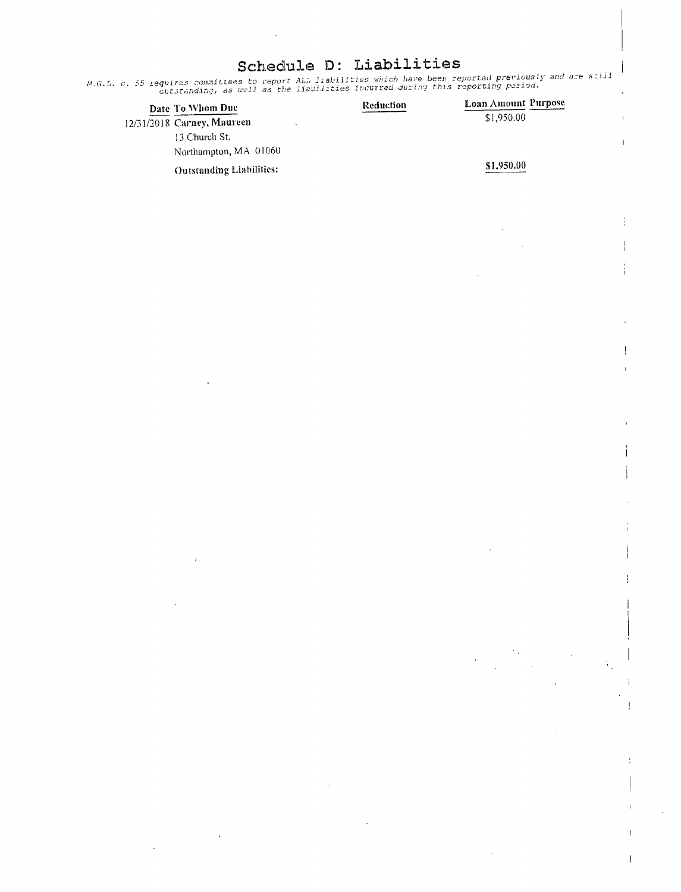# Schedule D: Liabilities

M.G.L. c. 55 requires committees to report AL7 liabilities which have been reported previously and are still<br>cutstanding, as well as the liabilities incurred during this reporting period.

| Date To Whom Due                | Reduction | <b>Loan Amount Purpose</b> |
|---------------------------------|-----------|----------------------------|
| 12/31/2018 Carney, Maureen      |           | \$1,950.00                 |
| 13 Church St.                   |           |                            |
| Northampton, MA 01060           |           |                            |
| <b>Outstanding Liabilities:</b> |           | \$1,950.00                 |

 $\overline{1}$ 

 $\frac{1}{2}$ 

÷

t

 $\overline{\phantom{a}}$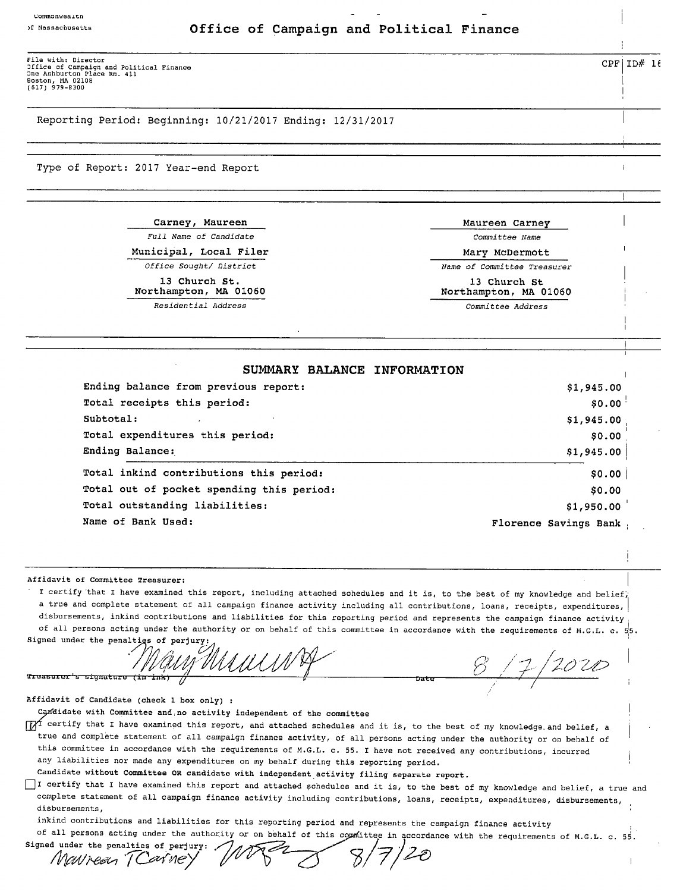### <sup>f</sup> Massachusetts Office of Campaign and Political Finance

File with: Director<br>Office of Campaign and Political Finance<br>Dne Ashburton Place Rm. 411<br>(617) 979-8300<br>(617) 979-8300

Reporting Period: Beginning: 10/21/2017 Ending: 12/31/2017

Type of Report: 2017 Year—end Report

Carney, Maureen **Maureen** Maureen Carney

13 Church St. 13 Church St. 13 Church St. 13 Church St

<sup>1</sup> Residential Address Committee Address

.

1

Full Name of Candidate Committee Name

Municipal, Local Filer Mary Mary McDermott Office Sought/ District  $\overline{N}$  Name of Committee Treasurer

Northampton, MA 01060

## SUMMARY BALANCE INFORMATION <sup>1</sup>

| Ending balance from previous report:      | \$1,945.00            |
|-------------------------------------------|-----------------------|
| Total receipts this period:               | \$0.00                |
| Subtotal:                                 | \$1,945.00            |
| Total expenditures this period:           | \$0.00                |
| Ending Balance:                           | \$1,945.00            |
| Total inkind contributions this period:   | \$0.00                |
| Total out of pocket spending this period: | \$0.00                |
| Total outstanding liabilities:            | \$1,950.00            |
| Name of Bank Used:                        | Florence Savings Bank |

Affidavit of Committee Treasurer:

I certify that I have examined this report, including attached schedules and it is, to the best of my knowledge and belief, <sup>a</sup> true and complete statement of all campaign finance activity including all contributions, loans, receipts, expenditures, disbursements, inkind contributions and liabilities for this reporting period and represents the campaign finance activity of all persons acting under the authority or on behalf of this committee in accordance with the requirements of M.G.L. c.  $55$ . Signed under the penalties of perjur

MUUNA 811  $f_{207D}$ Treasurer's signature (in ink)

Affidavit of Candidate ( check <sup>1</sup> box only) :

Cgsfdidate with Committee and, no activity independent of the committee

TTT certify that I have examined this report, and attached schedules and it is, to the best of my knowledge and belief, a true and complete statement of all campaign finance activity, of all persons acting under the authority or on behalf of this committee in accordance with the requirements of M.G.L. c. 55. I have not received any contributions, incurred any liabilities nor made any expenditures on my behalf during this reporting period.

Candidate without Committee OR candidate with independent activity filing separate report.

 $\boldsymbol{\mathscr{C}}$ 

EII certify that <sup>I</sup> have examined this report and attached schedules and it is, to the best of my knowledge and belief, a true and complete statement of all campaign finance activity including contributions, loans, receipts, expenditures, disbursements, disbursements,

inkind contributions and liabilities for this reporting period and represents the campaign finance activity

of all persons acting under the authority or on behalf of this committee in accordance with the requirements of M.G.L. c. 55 i  $8/7$  $\overline{\mathcal{Z}}$